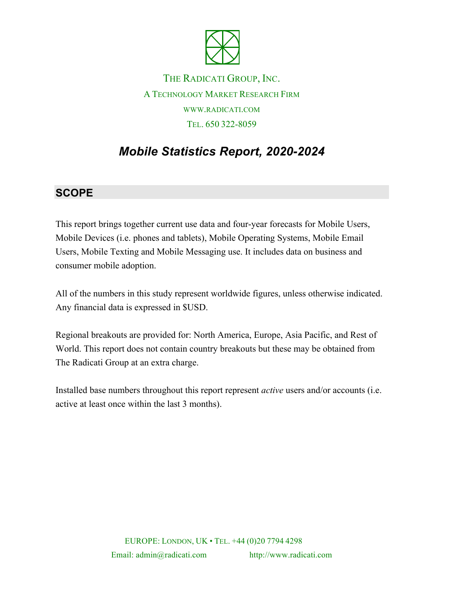

THE RADICATI GROUP, INC. A TECHNOLOGY MARKET RESEARCH FIRM WWW.RADICATI.COM TEL. 650 322-8059

# *Mobile Statistics Report, 2020-2024*

### **SCOPE**

This report brings together current use data and four-year forecasts for Mobile Users, Mobile Devices (i.e. phones and tablets), Mobile Operating Systems, Mobile Email Users, Mobile Texting and Mobile Messaging use. It includes data on business and consumer mobile adoption.

All of the numbers in this study represent worldwide figures, unless otherwise indicated. Any financial data is expressed in \$USD.

Regional breakouts are provided for: North America, Europe, Asia Pacific, and Rest of World. This report does not contain country breakouts but these may be obtained from The Radicati Group at an extra charge.

Installed base numbers throughout this report represent *active* users and/or accounts (i.e. active at least once within the last 3 months).

> EUROPE: LONDON, UK • TEL. +44 (0)20 7794 4298 Email: admin@radicati.com http://www.radicati.com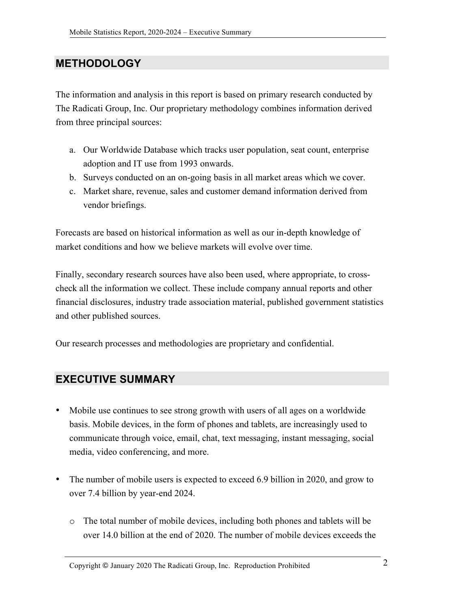#### **METHODOLOGY**

The information and analysis in this report is based on primary research conducted by The Radicati Group, Inc. Our proprietary methodology combines information derived from three principal sources:

- a. Our Worldwide Database which tracks user population, seat count, enterprise adoption and IT use from 1993 onwards.
- b. Surveys conducted on an on-going basis in all market areas which we cover.
- c. Market share, revenue, sales and customer demand information derived from vendor briefings.

Forecasts are based on historical information as well as our in-depth knowledge of market conditions and how we believe markets will evolve over time.

Finally, secondary research sources have also been used, where appropriate, to crosscheck all the information we collect. These include company annual reports and other financial disclosures, industry trade association material, published government statistics and other published sources.

Our research processes and methodologies are proprietary and confidential.

#### **EXECUTIVE SUMMARY**

- Mobile use continues to see strong growth with users of all ages on a worldwide basis. Mobile devices, in the form of phones and tablets, are increasingly used to communicate through voice, email, chat, text messaging, instant messaging, social media, video conferencing, and more.
- The number of mobile users is expected to exceed 6.9 billion in 2020, and grow to over 7.4 billion by year-end 2024.
	- o The total number of mobile devices, including both phones and tablets will be over 14.0 billion at the end of 2020. The number of mobile devices exceeds the